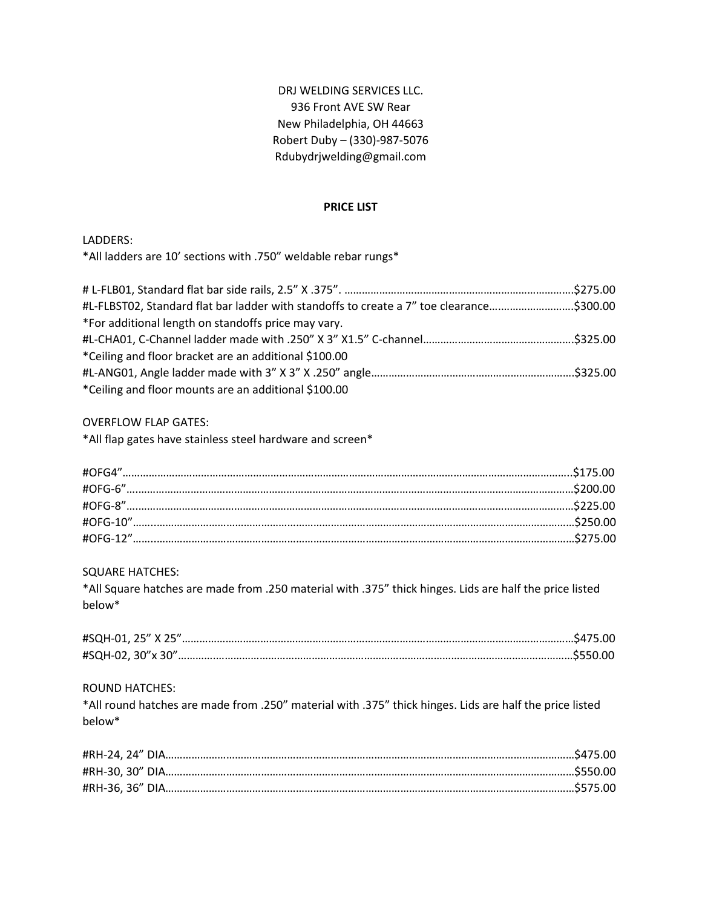# DRJ WELDING SERVICES LLC. 936 Front AVE SW Rear New Philadelphia, OH 44663 Robert Duby – (330)-987-5076 Rdubydrjwelding@gmail.com

### **PRICE LIST**

## LADDERS:

\*All ladders are 10' sections with .750" weldable rebar rungs\*

| #L-FLBST02, Standard flat bar ladder with standoffs to create a 7" toe clearance\$300.00 |  |
|------------------------------------------------------------------------------------------|--|
| *For additional length on standoffs price may vary.                                      |  |
|                                                                                          |  |
| *Ceiling and floor bracket are an additional \$100.00                                    |  |
|                                                                                          |  |
| *Ceiling and floor mounts are an additional \$100.00                                     |  |

## OVERFLOW FLAP GATES:

\*All flap gates have stainless steel hardware and screen\*

### SQUARE HATCHES:

\*All Square hatches are made from .250 material with .375" thick hinges. Lids are half the price listed below\*

## ROUND HATCHES:

\*All round hatches are made from .250" material with .375" thick hinges. Lids are half the price listed below\*